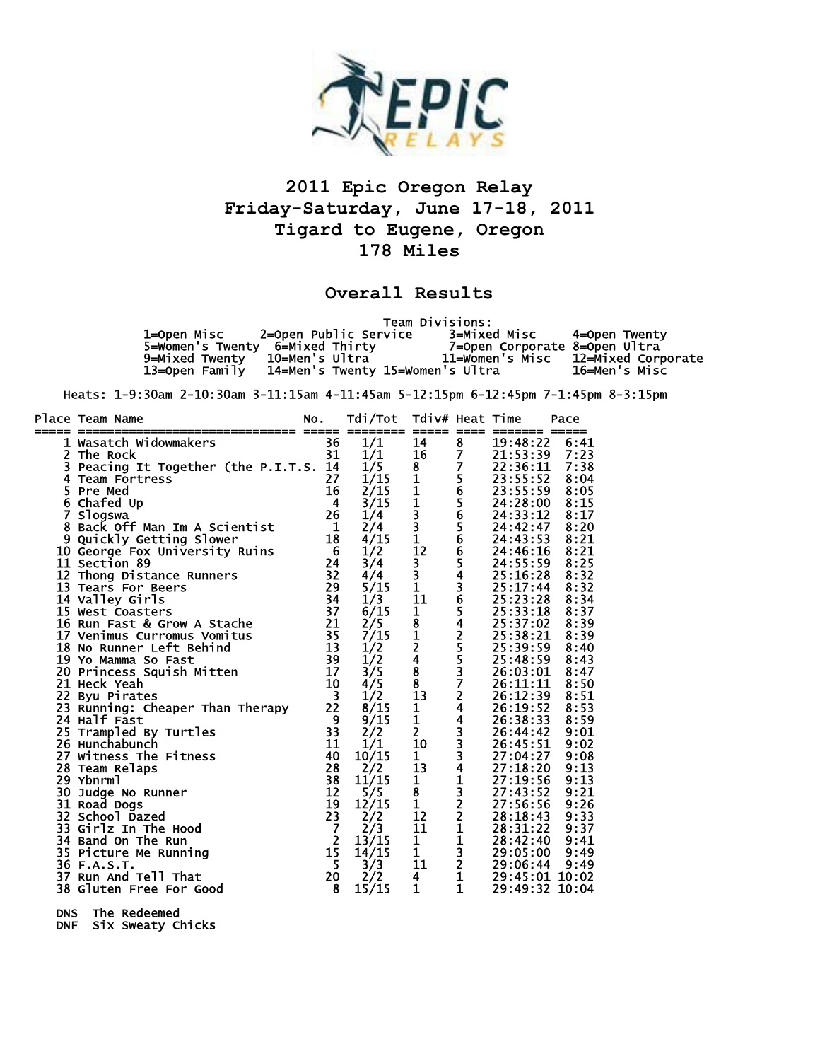

## **2011 Epic Oregon Relay Friday-Saturday, June 17-18, 2011 Tigard to Eugene, Oregon 178 Miles**

## **Overall Results**

 Team Divisions: 1=Open Misc 2=Open Public Service 3=Mixed Misc 4=Open Twenty 5=Women's Twenty 6=Mixed Thirty 7=Open Corporate 8=Open Ultra 9=Mixed Twenty 10=Men's Ultra 11=Women's Misc 12=Mixed Corporate 13=Open Family 14=Men's Twenty 15=Women's Ultra 16=Men's Misc

Heats: 1-9:30am 2-10:30am 3-11:15am 4-11:45am 5-12:15pm 6-12:45pm 7-1:45pm 8-3:15pm

|   | Place Team Name                   | NO.                     | Tdi/Tot<br>------               | Tdiv# Heat Time<br>=====                                         | ====                    | ======= =====                                            | Pace |
|---|-----------------------------------|-------------------------|---------------------------------|------------------------------------------------------------------|-------------------------|----------------------------------------------------------|------|
|   | 1 Wasatch Widowmakers             | 36                      | 1/1                             | 14                                                               | 8                       | 19:48:22                                                 | 6:41 |
|   | 2 The Rock                        | 31                      | 1/1                             | 16                                                               | $\overline{\mathbf{z}}$ | 21:53:39                                                 | 7:23 |
| 3 | Peacing It Together (the P.I.T.S. | 14                      | $\frac{1}{5}$<br>$\frac{1}{1}$  |                                                                  | $\overline{\mathbf{z}}$ | 22:36:11<br>23:55:52                                     | 7:38 |
| 4 | <b>Team Fortress</b>              | 27                      |                                 |                                                                  |                         |                                                          | 8:04 |
|   | 5 Pre Med                         | 16                      | 2/15                            |                                                                  |                         | 23:55:59                                                 | 8:05 |
|   | 6 Chafed Up                       | 4                       | 3/15                            |                                                                  |                         | 24:28:00                                                 | 8:15 |
|   | 7 Slogswa                         | 26                      | 1/4                             |                                                                  |                         | 24:33:12                                                 | 8:17 |
| 8 | Back Off Man Im A Scientist       | 1                       | 2/4                             | 8 1 1 1<br>1 1 3 3 1<br>1 2                                      |                         | 24:42:47                                                 | 8:20 |
|   | 9 Quickly Getting Slower          | 18                      | 4/15                            |                                                                  |                         | 24:43:53                                                 | 8:21 |
|   | 10 George Fox University Ruins    | 6                       | 1/2                             |                                                                  |                         | 24:46:16                                                 | 8:21 |
|   | <b>11 Section 89</b>              | 24                      | 3/4                             |                                                                  |                         | 24:55:59                                                 | 8:25 |
|   | 12 Thong Distance Runners         | 32                      | 4/4                             |                                                                  |                         | 25:16:28                                                 | 8:32 |
|   | 13 Tears For Beers                | 29                      | 5/15                            | $\begin{bmatrix} 3 \\ 3 \\ 3 \\ 1 \end{bmatrix}$                 |                         | 25:17:44                                                 | 8:32 |
|   | 14 Valley Girls                   | 34                      | 1/3                             | 11                                                               |                         |                                                          | 8:34 |
|   | 15 West Coasters                  | 37                      | 6/15                            | $\overline{1}$                                                   |                         |                                                          | 8:37 |
|   | 16 Run Fast & Grow A Stache       | 21                      | $\frac{2}{5}$<br>$\frac{7}{15}$ |                                                                  |                         |                                                          | 8:39 |
|   | 17 Venimus Curromus Vomitus       | 35                      |                                 |                                                                  |                         |                                                          | 8:39 |
|   | 18 No Runner Left Behind          | 13                      | 1/2                             | $\frac{1}{8}$<br>$\frac{1}{2}$<br>$\frac{4}{8}$<br>$\frac{8}{3}$ | 5656566543654255372     | 25:23:28<br>25:33:18<br>25:37:02<br>25:38:21<br>25:39:59 | 8:40 |
|   | 19 Yo Mamma So Fast               | 39                      | 1/2                             |                                                                  |                         | 25:48:59                                                 | 8:43 |
|   | 20 Princess Squish Mitten         | 17                      | 3/5                             |                                                                  |                         | 26:03:01                                                 | 8:47 |
|   | 21 Heck Yeah                      | 10                      | 4/5                             |                                                                  |                         | 26:11:11                                                 | 8:50 |
|   | 22 Byu Pirates                    | $\overline{\mathbf{3}}$ | 1/2                             | $\overline{13}$                                                  |                         | 26:12:39                                                 | 8:51 |
|   | 23 Running: Cheaper Than Therapy  | 22                      | 8/15                            | $\frac{1}{1}$<br>2                                               |                         | 26:19:52<br>26:38:33                                     | 8:53 |
|   | 24 Half Fast                      | 9                       | 9/15                            |                                                                  |                         |                                                          | 8:59 |
|   | 25 Trampled By Turtles            | 33                      | 2/2                             |                                                                  |                         | 26:44:42                                                 | 9:01 |
|   | 26 Hunchabunch                    | 11                      | 1/1                             | 10                                                               |                         | 26:45:51                                                 | 9:02 |
|   | 27 Witness The Fitness            | 40                      | 10/15                           | $\mathbf{1}$                                                     |                         | 27:04:27                                                 | 9:08 |
|   | 28 Team Relaps                    | 28                      | 2/2                             | 13                                                               |                         | 27:18:20                                                 | 9:13 |
|   | 29 Ybnrml                         | 38                      | 11/15                           | $\mathbf{1}$                                                     |                         | 27:19:56                                                 | 9:13 |
|   | 30 Judge No Runner                | $\overline{12}$         | 5/5                             | $\overline{\frac{8}{1}}$                                         |                         | 27:43:52                                                 | 9:21 |
|   | 31 Road Dogs                      | 19                      | 12/15                           |                                                                  |                         | 27:56:56                                                 | 9:26 |
|   | 32 School Dazed                   | 23                      | 2/2                             | 12                                                               |                         | 28:18:43                                                 | 9:33 |
|   | 33 Girlz In The Hood              | $\overline{7}$          | 2/3                             | 11                                                               |                         | 28:31:22                                                 | 9:37 |
|   | 34 Band On The Run                | $\overline{2}$          | 13/15                           | $\overline{\frac{1}{1}}$                                         |                         | 28:42:40                                                 | 9:41 |
|   | 35 Picture Me Running             | 15                      | 14/15                           |                                                                  |                         | 29:05:00                                                 | 9:49 |
|   | 36 F.A.S.T.                       | 5                       | 3/3                             | 11                                                               | 443334132211321         | 29:06:44                                                 | 9:49 |
|   | 37 Run And Tell That              | 20                      | 2/2                             | 4                                                                |                         | 29:45:01 10:02                                           |      |
|   | 38 Gluten Free For Good           | 8                       | 15/15                           | 1                                                                | $\mathbf{1}$            | 29:49:32 10:04                                           |      |

DNS The Redeemed

DNF Six Sweaty Chicks